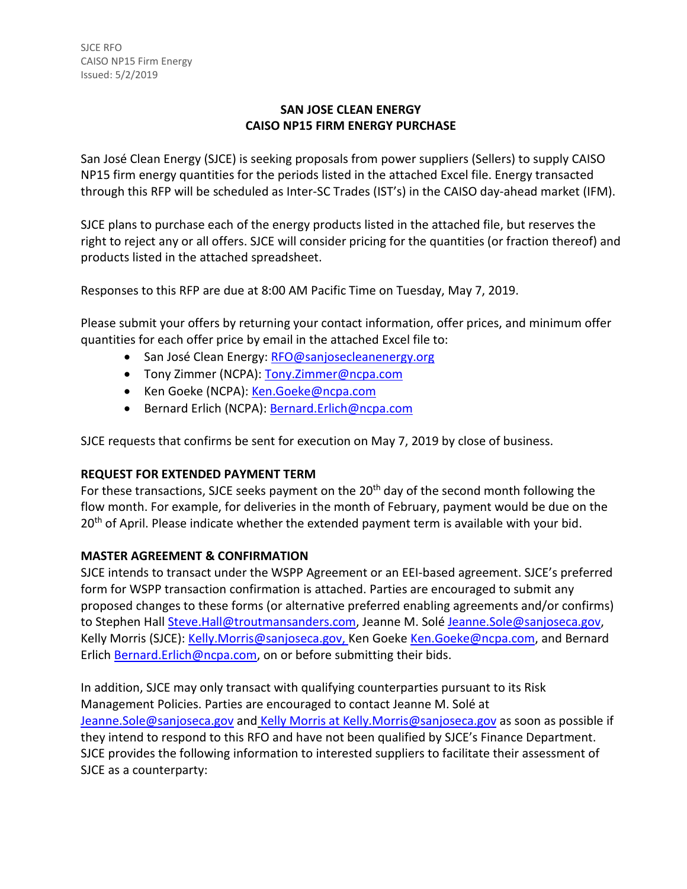# **SAN JOSE CLEAN ENERGY CAISO NP15 FIRM ENERGY PURCHASE**

San José Clean Energy (SJCE) is seeking proposals from power suppliers (Sellers) to supply CAISO NP15 firm energy quantities for the periods listed in the attached Excel file. Energy transacted through this RFP will be scheduled as Inter-SC Trades (IST's) in the CAISO day-ahead market (IFM).

SJCE plans to purchase each of the energy products listed in the attached file, but reserves the right to reject any or all offers. SJCE will consider pricing for the quantities (or fraction thereof) and products listed in the attached spreadsheet.

Responses to this RFP are due at 8:00 AM Pacific Time on Tuesday, May 7, 2019.

Please submit your offers by returning your contact information, offer prices, and minimum offer quantities for each offer price by email in the attached Excel file to:

- San José Clean Energy: [RFO@sanjosecleanenergy.org](mailto:RFO@sanjosecleanenergy.org)
- Tony Zimmer (NCPA): [Tony.Zimmer@ncpa.com](mailto:Tony.Zimmer@ncpa.com)
- Ken Goeke (NCPA): [Ken.Goeke@ncpa.com](mailto:Ken.Goeke@ncpa.com)
- Bernard Erlich (NCPA): [Bernard.Erlich@ncpa.com](mailto:Bernard.Erlich@ncpa.com)

SJCE requests that confirms be sent for execution on May 7, 2019 by close of business.

## **REQUEST FOR EXTENDED PAYMENT TERM**

For these transactions, SJCE seeks payment on the 20<sup>th</sup> day of the second month following the flow month. For example, for deliveries in the month of February, payment would be due on the 20<sup>th</sup> of April. Please indicate whether the extended payment term is available with your bid.

## **MASTER AGREEMENT & CONFIRMATION**

SJCE intends to transact under the WSPP Agreement or an EEI-based agreement. SJCE's preferred form for WSPP transaction confirmation is attached. Parties are encouraged to submit any proposed changes to these forms (or alternative preferred enabling agreements and/or confirms) to Stephen Hall [Steve.Hall@troutmansanders.com,](mailto:Steve.Hall@troutmansanders.com) Jeanne M. Solé [Jeanne.Sole@sanjoseca.gov,](mailto:Jeanne.Sole@sanjoseca.gov) Kelly Morris (SJCE): [Kelly.Morris@sanjoseca.gov,](mailto:Kelly.Morris@sanjoseca.gov) Ken Goeke [Ken.Goeke@ncpa.com,](mailto:Ken.Goeke@ncpa.com) and Bernard Erlich [Bernard.Erlich@ncpa.com,](mailto:Bernard.Erlich@ncpa.com) on or before submitting their bids.

In addition, SJCE may only transact with qualifying counterparties pursuant to its Risk Management Policies. Parties are encouraged to contact Jeanne M. Solé at [Jeanne.Sole@sanjoseca.gov](mailto:Jeanne.Sole@sanjoseca.gov) and Kelly Morris at [Kelly.Morris@sanjoseca.gov](mailto:Kelly.Morris@sanjoseca.gov) as soon as possible if they intend to respond to this RFO and have not been qualified by SJCE's Finance Department. SJCE provides the following information to interested suppliers to facilitate their assessment of SJCE as a counterparty: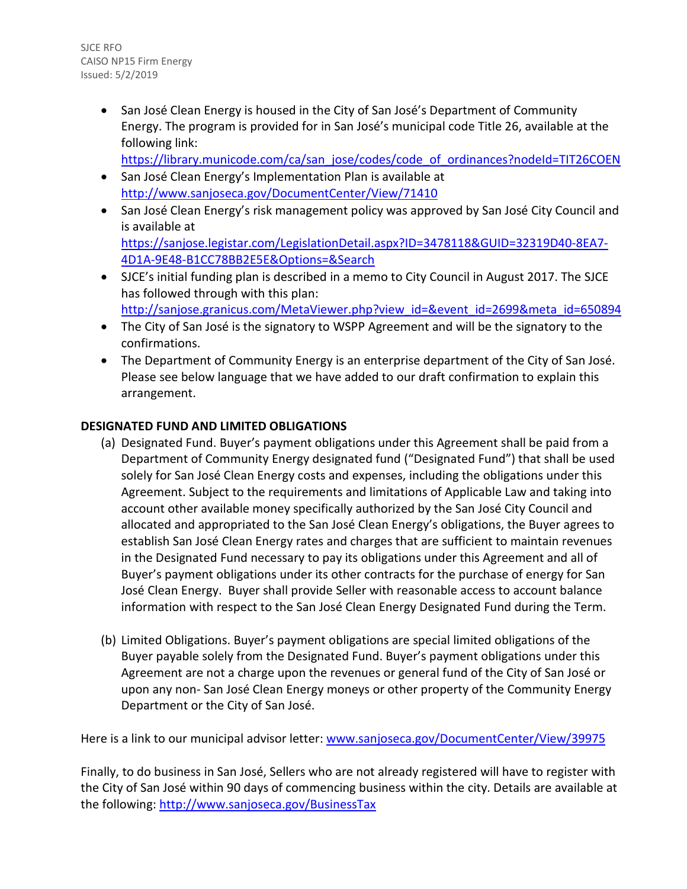SJCE RFO CAISO NP15 Firm Energy Issued: 5/2/2019

> • San José Clean Energy is housed in the City of San José's Department of Community Energy. The program is provided for in San José's municipal code Title 26, available at the following link:

[https://library.municode.com/ca/san\\_jose/codes/code\\_of\\_ordinances?nodeId=TIT26COEN](https://library.municode.com/ca/san_jose/codes/code_of_ordinances?nodeId=TIT26COEN)

- San José Clean Energy's Implementation Plan is available at <http://www.sanjoseca.gov/DocumentCenter/View/71410>
- San José Clean Energy's risk management policy was approved by San José City Council and is available at [https://sanjose.legistar.com/LegislationDetail.aspx?ID=3478118&GUID=32319D40-8EA7-](https://sanjose.legistar.com/LegislationDetail.aspx?ID=3478118&GUID=32319D40-8EA7-4D1A-9E48-B1CC78BB2E5E&Options=&Search) [4D1A-9E48-B1CC78BB2E5E&Options=&Search](https://sanjose.legistar.com/LegislationDetail.aspx?ID=3478118&GUID=32319D40-8EA7-4D1A-9E48-B1CC78BB2E5E&Options=&Search)
- SJCE's initial funding plan is described in a memo to City Council in August 2017. The SJCE has followed through with this plan: [http://sanjose.granicus.com/MetaViewer.php?view\\_id=&event\\_id=2699&meta\\_id=650894](http://sanjose.granicus.com/MetaViewer.php?view_id=&event_id=2699&meta_id=650894)
- The City of San José is the signatory to WSPP Agreement and will be the signatory to the confirmations.
- The Department of Community Energy is an enterprise department of the City of San José. Please see below language that we have added to our draft confirmation to explain this arrangement.

# **DESIGNATED FUND AND LIMITED OBLIGATIONS**

- (a) Designated Fund. Buyer's payment obligations under this Agreement shall be paid from a Department of Community Energy designated fund ("Designated Fund") that shall be used solely for San José Clean Energy costs and expenses, including the obligations under this Agreement. Subject to the requirements and limitations of Applicable Law and taking into account other available money specifically authorized by the San José City Council and allocated and appropriated to the San José Clean Energy's obligations, the Buyer agrees to establish San José Clean Energy rates and charges that are sufficient to maintain revenues in the Designated Fund necessary to pay its obligations under this Agreement and all of Buyer's payment obligations under its other contracts for the purchase of energy for San José Clean Energy. Buyer shall provide Seller with reasonable access to account balance information with respect to the San José Clean Energy Designated Fund during the Term.
- (b) Limited Obligations. Buyer's payment obligations are special limited obligations of the Buyer payable solely from the Designated Fund. Buyer's payment obligations under this Agreement are not a charge upon the revenues or general fund of the City of San José or upon any non- San José Clean Energy moneys or other property of the Community Energy Department or the City of San José.

Here is a link to our municipal advisor letter: [www.sanjoseca.gov/DocumentCenter/View/39975](http://www.sanjoseca.gov/DocumentCenter/View/39975)

Finally, to do business in San José, Sellers who are not already registered will have to register with the City of San José within 90 days of commencing business within the city. Details are available at the following:<http://www.sanjoseca.gov/BusinessTax>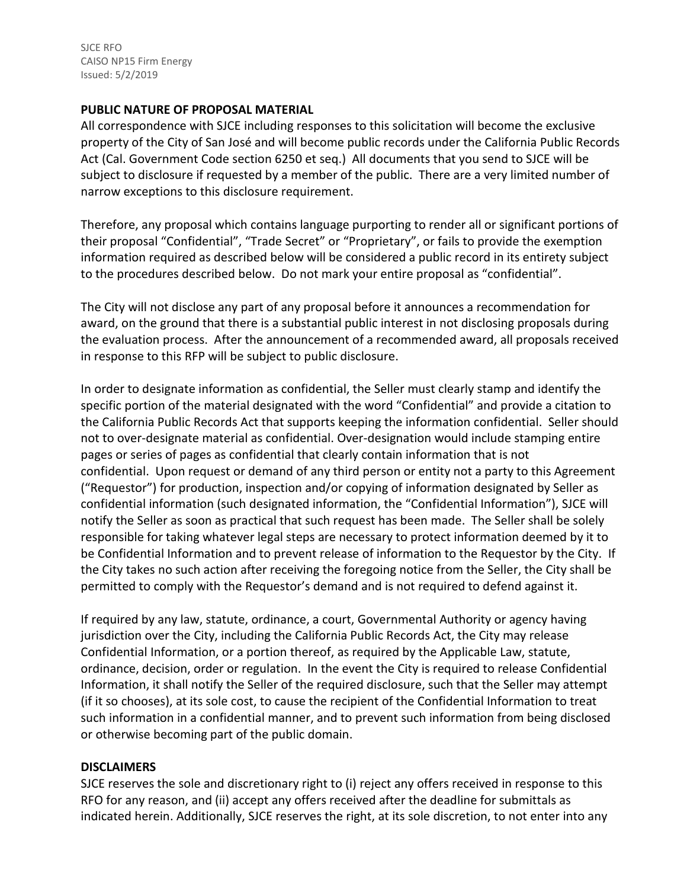SJCE RFO CAISO NP15 Firm Energy Issued: 5/2/2019

#### **PUBLIC NATURE OF PROPOSAL MATERIAL**

All correspondence with SJCE including responses to this solicitation will become the exclusive property of the City of San José and will become public records under the California Public Records Act (Cal. Government Code section 6250 et seq.) All documents that you send to SJCE will be subject to disclosure if requested by a member of the public. There are a very limited number of narrow exceptions to this disclosure requirement.

Therefore, any proposal which contains language purporting to render all or significant portions of their proposal "Confidential", "Trade Secret" or "Proprietary", or fails to provide the exemption information required as described below will be considered a public record in its entirety subject to the procedures described below. Do not mark your entire proposal as "confidential".

The City will not disclose any part of any proposal before it announces a recommendation for award, on the ground that there is a substantial public interest in not disclosing proposals during the evaluation process. After the announcement of a recommended award, all proposals received in response to this RFP will be subject to public disclosure.

In order to designate information as confidential, the Seller must clearly stamp and identify the specific portion of the material designated with the word "Confidential" and provide a citation to the California Public Records Act that supports keeping the information confidential. Seller should not to over-designate material as confidential. Over-designation would include stamping entire pages or series of pages as confidential that clearly contain information that is not confidential. Upon request or demand of any third person or entity not a party to this Agreement ("Requestor") for production, inspection and/or copying of information designated by Seller as confidential information (such designated information, the "Confidential Information"), SJCE will notify the Seller as soon as practical that such request has been made. The Seller shall be solely responsible for taking whatever legal steps are necessary to protect information deemed by it to be Confidential Information and to prevent release of information to the Requestor by the City. If the City takes no such action after receiving the foregoing notice from the Seller, the City shall be permitted to comply with the Requestor's demand and is not required to defend against it.

If required by any law, statute, ordinance, a court, Governmental Authority or agency having jurisdiction over the City, including the California Public Records Act, the City may release Confidential Information, or a portion thereof, as required by the Applicable Law, statute, ordinance, decision, order or regulation. In the event the City is required to release Confidential Information, it shall notify the Seller of the required disclosure, such that the Seller may attempt (if it so chooses), at its sole cost, to cause the recipient of the Confidential Information to treat such information in a confidential manner, and to prevent such information from being disclosed or otherwise becoming part of the public domain.

#### **DISCLAIMERS**

SJCE reserves the sole and discretionary right to (i) reject any offers received in response to this RFO for any reason, and (ii) accept any offers received after the deadline for submittals as indicated herein. Additionally, SJCE reserves the right, at its sole discretion, to not enter into any